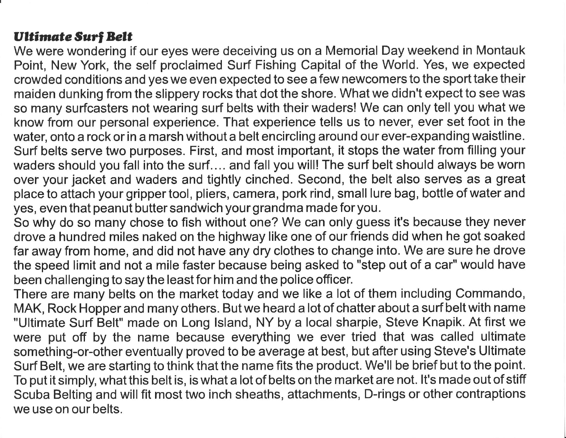## Ultimate Surf Belt

We were wondering if our eyes were deceiving us on a Memorial Day weekend in Montauk Point, New York, the self proclaimed Surf Fishing Capital of the World. Yes, we expected crowded conditions and yes we even expected to see a few newcomers to the sport take their maiden dunking from the slippery rocks that dot the shore. What we didn't expect to see was so many surfcasters not wearing surf belts with their waders! We can only tell you what we know from our personal experience. That experience tells us to never, ever set foot in the water, onto a rock or in a marsh without a belt encircling around our ever-expanding waistline. Surf belts serve two purposes. First, and most important, it stops the water from filling your waders should you fall into the surf.... and fall you will! The surf belt should always be worn over your jacket and waders and tightly cinched. Second, the belt also serves as a great place to attach your gripper tool, pliers, camera, pork rind, small lure bag, bottle of water and yes, even that peanut butter sandwich your grandma made for you.

So why do so many chose to fish without one? We can only guess it's because they never drove a hundred miles naked on the highway like one of our friends did when he got soaked far away from home, and did not have any dry clothes to change into. We are sure he drove the speed limit and not a mile faster because being asked to "step out of a car" would have been challenging to say the least for him and the police officer.

There are many belts on the market today and we like a lot of them including Commando, MAK, Rock Hopper and many others. But we heard a lot of chatter about a surf belt with name "Ultimate Surf Belt" made on Long lsland, NY by a local sharpie, Steve Knapik. At first we were put off by the name because everything we ever tried that was called ultimate something-or-other eventually proved to be average at best, but after using Steve's Ultimate Surf Belt, we are starting to think that the name fits the product. We'll be brief but to the point. To put it simply, what this belt is, is what a lot of belts on the market are not. lt's made out of stiff Scuba Belting and will fit most two inch sheaths, attachments, D-rings or other contraptions we use on our belts.